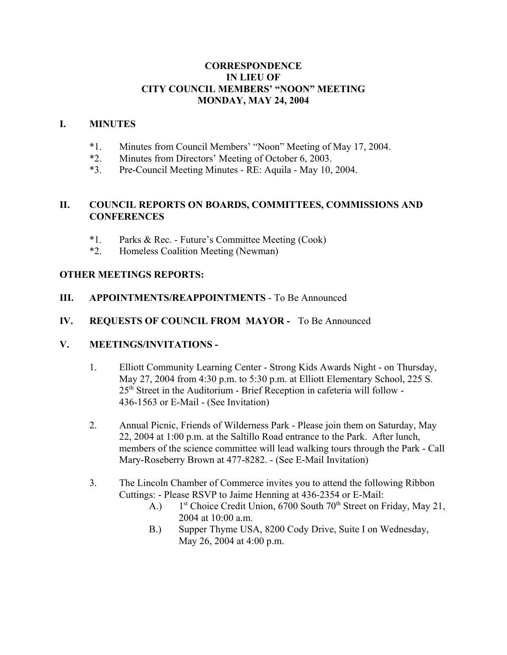# **CORRESPONDENCE IN LIEU OF CITY COUNCIL MEMBERS' "NOON" MEETING MONDAY, MAY 24, 2004**

# **I. MINUTES**

- \*1. Minutes from Council Members' "Noon" Meeting of May 17, 2004.
- \*2. Minutes from Directors' Meeting of October 6, 2003.
- \*3. Pre-Council Meeting Minutes RE: Aquila May 10, 2004.

## **II. COUNCIL REPORTS ON BOARDS, COMMITTEES, COMMISSIONS AND CONFERENCES**

- \*1. Parks & Rec. Future's Committee Meeting (Cook)
- \*2. Homeless Coalition Meeting (Newman)

## **OTHER MEETINGS REPORTS:**

**III. APPOINTMENTS/REAPPOINTMENTS** - To Be Announced

## **IV. REQUESTS OF COUNCIL FROM MAYOR -** To Be Announced

### **V. MEETINGS/INVITATIONS -**

- 1. Elliott Community Learning Center Strong Kids Awards Night on Thursday, May 27, 2004 from 4:30 p.m. to 5:30 p.m. at Elliott Elementary School, 225 S.  $25<sup>th</sup>$  Street in the Auditorium - Brief Reception in cafeteria will follow -436-1563 or E-Mail - (See Invitation)
- 2. Annual Picnic, Friends of Wilderness Park Please join them on Saturday, May 22, 2004 at 1:00 p.m. at the Saltillo Road entrance to the Park. After lunch, members of the science committee will lead walking tours through the Park - Call Mary-Roseberry Brown at 477-8282. - (See E-Mail Invitation)
- 3. The Lincoln Chamber of Commerce invites you to attend the following Ribbon Cuttings: - Please RSVP to Jaime Henning at 436-2354 or E-Mail:
	- A.)  $1^{st}$  Choice Credit Union, 6700 South 70<sup>th</sup> Street on Friday, May 21, 2004 at 10:00 a.m.
	- B.) Supper Thyme USA, 8200 Cody Drive, Suite I on Wednesday, May 26, 2004 at 4:00 p.m.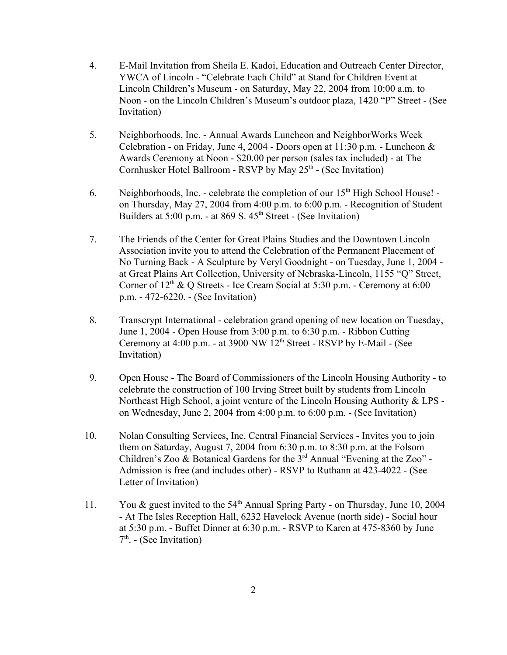- 4. E-Mail Invitation from Sheila E. Kadoi, Education and Outreach Center Director, YWCA of Lincoln - "Celebrate Each Child" at Stand for Children Event at Lincoln Children's Museum - on Saturday, May 22, 2004 from 10:00 a.m. to Noon - on the Lincoln Children's Museum's outdoor plaza, 1420 "P" Street - (See Invitation)
- 5. Neighborhoods, Inc. Annual Awards Luncheon and NeighborWorks Week Celebration - on Friday, June 4, 2004 - Doors open at 11:30 p.m. - Luncheon & Awards Ceremony at Noon - \$20.00 per person (sales tax included) - at The Cornhusker Hotel Ballroom - RSVP by May  $25<sup>th</sup>$  - (See Invitation)
- 6. Neighborhoods, Inc. celebrate the completion of our  $15<sup>th</sup>$  High School House! on Thursday, May 27, 2004 from 4:00 p.m. to 6:00 p.m. - Recognition of Student Builders at  $5:00$  p.m. - at 869 S.  $45<sup>th</sup>$  Street - (See Invitation)
- 7. The Friends of the Center for Great Plains Studies and the Downtown Lincoln Association invite you to attend the Celebration of the Permanent Placement of No Turning Back - A Sculpture by Veryl Goodnight - on Tuesday, June 1, 2004 at Great Plains Art Collection, University of Nebraska-Lincoln, 1155 "Q" Street, Corner of  $12<sup>th</sup>$  & O Streets - Ice Cream Social at 5:30 p.m. - Ceremony at 6:00 p.m. - 472-6220. - (See Invitation)
- 8. Transcrypt International celebration grand opening of new location on Tuesday, June 1, 2004 - Open House from 3:00 p.m. to 6:30 p.m. - Ribbon Cutting Ceremony at  $4:00$  p.m. - at 3900 NW  $12<sup>th</sup>$  Street - RSVP by E-Mail - (See Invitation)
- 9. Open House The Board of Commissioners of the Lincoln Housing Authority to celebrate the construction of 100 Irving Street built by students from Lincoln Northeast High School, a joint venture of the Lincoln Housing Authority & LPS on Wednesday, June 2, 2004 from 4:00 p.m. to 6:00 p.m. - (See Invitation)
- 10. Nolan Consulting Services, Inc. Central Financial Services Invites you to join them on Saturday, August 7, 2004 from 6:30 p.m. to 8:30 p.m. at the Folsom Children's Zoo & Botanical Gardens for the 3rd Annual "Evening at the Zoo" - Admission is free (and includes other) - RSVP to Ruthann at 423-4022 - (See Letter of Invitation)
- 11. You & guest invited to the  $54<sup>th</sup>$  Annual Spring Party on Thursday, June 10, 2004 - At The Isles Reception Hall, 6232 Havelock Avenue (north side) - Social hour at 5:30 p.m. - Buffet Dinner at 6:30 p.m. - RSVP to Karen at 475-8360 by June  $7<sup>th</sup>$ . - (See Invitation)